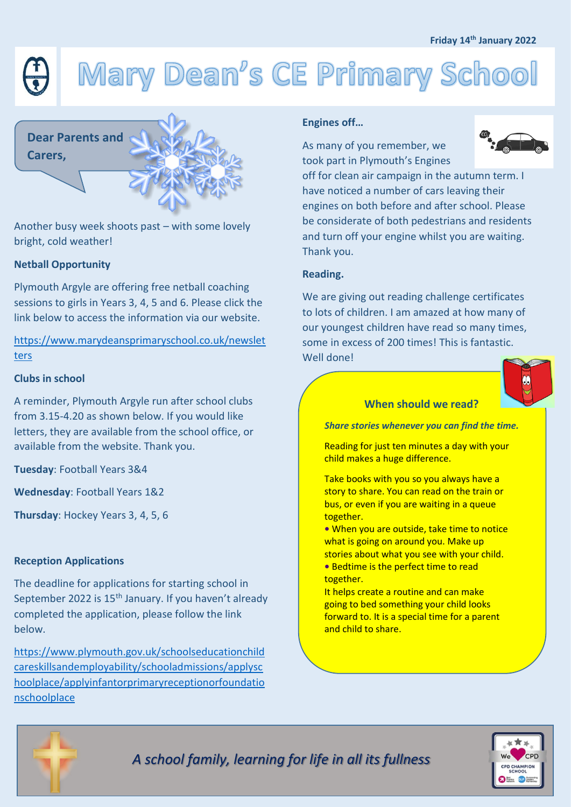# Mary Dean's CE Primary School

# **Dear Parents and Carers,**

Another busy week shoots past – with some lovely bright, cold weather!

# **Netball Opportunity**

Plymouth Argyle are offering free netball coaching sessions to girls in Years 3, 4, 5 and 6. Please click the link below to access the information via our website.

[https://www.marydeansprimaryschool.co.uk/newslet](https://www.marydeansprimaryschool.co.uk/newsletters) [ters](https://www.marydeansprimaryschool.co.uk/newsletters)

#### **Clubs in school**

A reminder, Plymouth Argyle run after school clubs from 3.15-4.20 as shown below. If you would like letters, they are available from the school office, or available from the website. Thank you.

**Tuesday**: Football Years 3&4

**Wednesday**: Football Years 1&2

**Thursday**: Hockey Years 3, 4, 5, 6

## **Reception Applications**

The deadline for applications for starting school in September 2022 is 15<sup>th</sup> January. If you haven't already completed the application, please follow the link below.

[https://www.plymouth.gov.uk/schoolseducationchild](https://www.plymouth.gov.uk/schoolseducationchildcareskillsandemployability/schooladmissions/applyschoolplace/applyinfantorprimaryreceptionorfoundationschoolplace) [careskillsandemployability/schooladmissions/applysc](https://www.plymouth.gov.uk/schoolseducationchildcareskillsandemployability/schooladmissions/applyschoolplace/applyinfantorprimaryreceptionorfoundationschoolplace) [hoolplace/applyinfantorprimaryreceptionorfoundatio](https://www.plymouth.gov.uk/schoolseducationchildcareskillsandemployability/schooladmissions/applyschoolplace/applyinfantorprimaryreceptionorfoundationschoolplace) [nschoolplace](https://www.plymouth.gov.uk/schoolseducationchildcareskillsandemployability/schooladmissions/applyschoolplace/applyinfantorprimaryreceptionorfoundationschoolplace)

## **Engines off…**

As many of you remember, we took part in Plymouth's Engines



off for clean air campaign in the autumn term. I have noticed a number of cars leaving their engines on both before and after school. Please be considerate of both pedestrians and residents and turn off your engine whilst you are waiting. Thank you.

### **Reading.**

We are giving out reading challenge certificates to lots of children. I am amazed at how many of our youngest children have read so many times, some in excess of 200 times! This is fantastic. Well done!

# **When should we read?**

*Share stories whenever you can find the time.*

Reading for just ten minutes a day with your child makes a huge difference.

Take books with you so you always have a story to share. You can read on the train or bus, or even if you are waiting in a queue together.

**•** When you are outside, take time to notice what is going on around you. Make up stories about what you see with your child.

**•** Bedtime is the perfect time to read together.

It helps create a routine and can make going to bed something your child looks forward to. It is a special time for a parent and child to share.



*A school family, learning for life in all its fullness*